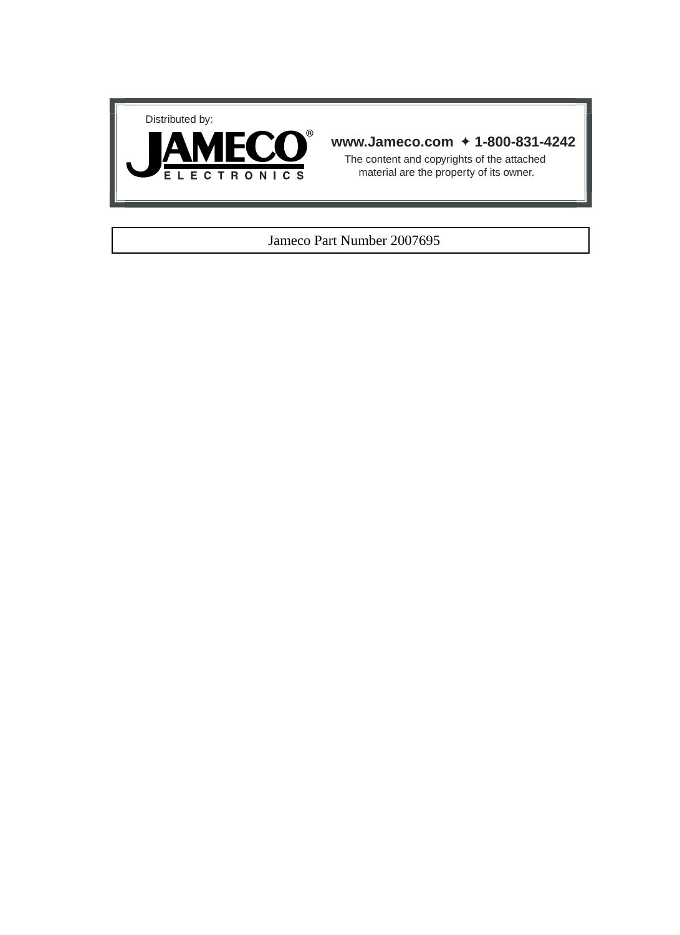



### **www.Jameco.com** ✦ **1-800-831-4242**

The content and copyrights of the attached material are the property of its owner.

#### Jameco Part Number 2007695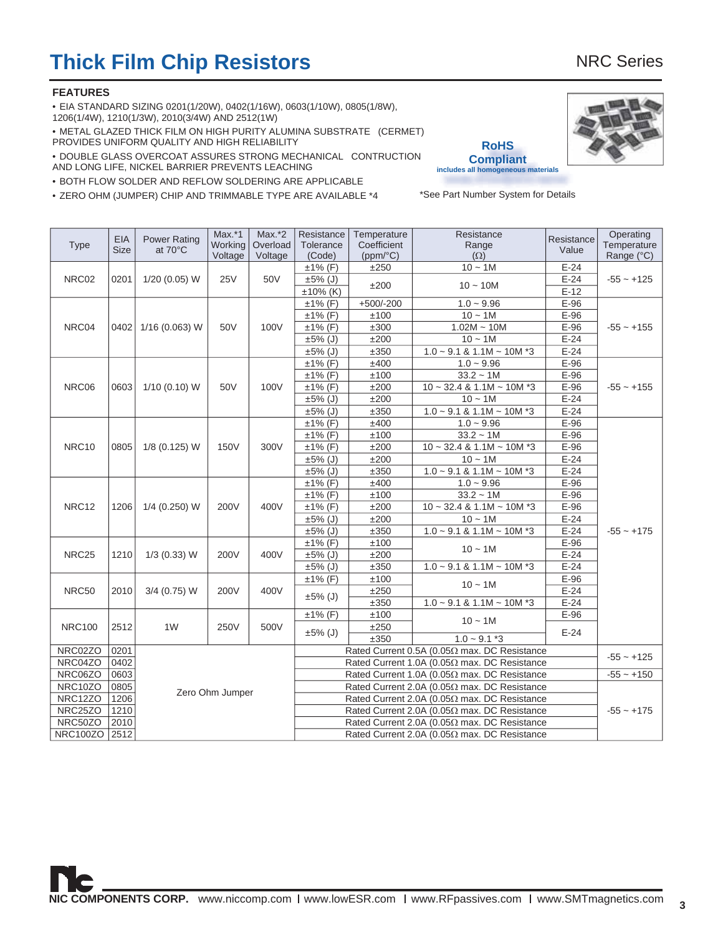# **Thick Film Chip Resistors** NRC Series

#### **FEATURES**

• EIA STANDARD SIZING 0201(1/20W), 0402(1/16W), 0603(1/10W), 0805(1/8W),

1206(1/4W), 1210(1/3W), 2010(3/4W) AND 2512(1W)

• METAL GLAZED THICK FILM ON HIGH PURITY ALUMINA SUBSTRATE (CERMET) PROVIDES UNIFORM QUALITY AND HIGH RELIABILITY

• DOUBLE GLASS OVERCOAT ASSURES STRONG MECHANICAL CONTRUCTION AND LONG LIFE, NICKEL BARRIER PREVENTS LEACHING

• BOTH FLOW SOLDER AND REFLOW SOLDERING ARE APPLICABLE

• ZERO OHM (JUMPER) CHIP AND TRIMMABLE TYPE ARE AVAILABLE \*4

|                   | <b>EIA</b>  | <b>Power Rating</b>                                                                                          | $Max.*1$                                                             | $Max.*2$   | Resistance                                           | Temperature                         | Resistance                                           | Resistance | Operating    |  |  |  |
|-------------------|-------------|--------------------------------------------------------------------------------------------------------------|----------------------------------------------------------------------|------------|------------------------------------------------------|-------------------------------------|------------------------------------------------------|------------|--------------|--|--|--|
| <b>Type</b>       | <b>Size</b> | at 70°C                                                                                                      | Working                                                              | Overload   | Tolerance                                            | Coefficient                         | Range                                                | Value      | Temperature  |  |  |  |
|                   |             |                                                                                                              | Voltage                                                              | Voltage    | (Code)                                               | (ppm/°C)                            | $(\Omega)$                                           |            | Range (°C)   |  |  |  |
|                   |             |                                                                                                              |                                                                      |            | $\overline{\pm 1\%}$ (F)                             | ±250                                | $10 - 1M$                                            | $E-24$     |              |  |  |  |
| NRC02             | 0201        | 1/20 (0.05) W                                                                                                | <b>25V</b>                                                           | 50V        | $±5\%$ (J)                                           | ±200                                | $10 - 10M$                                           | $E-24$     | $-55 - +125$ |  |  |  |
|                   |             |                                                                                                              |                                                                      |            | $±10\%$ (K)                                          |                                     |                                                      | $E-12$     |              |  |  |  |
|                   |             |                                                                                                              |                                                                      |            | $±1\%$ (F)                                           | $+500/-200$                         | $1.0 - 9.96$                                         | $E-96$     |              |  |  |  |
|                   |             |                                                                                                              |                                                                      |            | $±1\%$ (F)                                           | ±100                                | $10 - 1M$                                            | E-96       |              |  |  |  |
| NRC04             | 0402        | 1/16 (0.063) W                                                                                               | 50V                                                                  | 100V       | $±1\%$ (F)                                           | ±300                                | $1.02M - 10M$                                        | $E-96$     | $-55 - +155$ |  |  |  |
|                   |             |                                                                                                              |                                                                      |            | $±5\%$ (J)                                           | ±200                                | $10 - 1M$                                            | $E-24$     |              |  |  |  |
|                   |             |                                                                                                              |                                                                      |            | $±5\%$ (J)                                           | ±350                                | $1.0 \sim 9.1$ & $1.1M \sim 10M$ *3                  | $E-24$     |              |  |  |  |
|                   |             |                                                                                                              |                                                                      |            | $±1\%$ (F)                                           | ±400                                | $1.0 - 9.96$                                         | E-96       |              |  |  |  |
|                   |             |                                                                                                              |                                                                      |            | $±1\%$ (F)                                           | ±100                                | $33.2 - 1M$                                          | $E-96$     |              |  |  |  |
| NRC06             | 0603        | $1/10$ (0.10) W                                                                                              | 50V                                                                  | 100V       | $\overline{\pm 1\%}$ (F)                             | ±200                                | $10 \sim 32.4$ & 1.1M ~ 10M *3                       | $E-96$     | $-55 - +155$ |  |  |  |
|                   |             |                                                                                                              |                                                                      |            | $±5\%$ (J)                                           | ±200                                | $10 - 1M$                                            | $E-24$     |              |  |  |  |
|                   |             |                                                                                                              |                                                                      |            | $±5\%$ (J)                                           | ±350                                | $1.0 \sim 9.1$ & $1.1M \sim 10M$ *3                  | $E-24$     |              |  |  |  |
|                   |             |                                                                                                              |                                                                      |            | $±1\%$ (F)                                           | ±400                                | $1.0 - 9.96$                                         | E-96       |              |  |  |  |
|                   |             |                                                                                                              |                                                                      |            | $±1\%$ (F)                                           | ±100                                | $33.2 - 1M$                                          | $E-96$     |              |  |  |  |
| NRC10             | 0805        | 1/8 (0.125) W                                                                                                | <b>150V</b>                                                          | 300V       | $±1\%$ (F)                                           | ±200                                | $10 \sim 32.4$ & 1.1M ~ 10M *3                       | E-96       |              |  |  |  |
|                   |             |                                                                                                              |                                                                      | $±5\%$ (J) | ±200                                                 | $10 - 1M$                           | $E-24$                                               |            |              |  |  |  |
|                   |             |                                                                                                              |                                                                      | $±5\%$ (J) | ±350                                                 | $1.0 \sim 9.1$ & $1.1M \sim 10M$ *3 | $E-24$                                               |            |              |  |  |  |
|                   |             |                                                                                                              |                                                                      |            | $±1\%$ (F)                                           | ±400                                | $1.0 - 9.96$                                         | $E-96$     |              |  |  |  |
|                   |             |                                                                                                              |                                                                      |            | $±1\%$ (F)                                           | ±100                                | $33.2 - 1M$                                          | E-96       |              |  |  |  |
| NRC <sub>12</sub> | 1206        | 1/4 (0.250) W                                                                                                | 200V                                                                 | 400V       | $±1\%$ (F)                                           | ±200                                | $10 \sim 32.4$ & $1.1M \sim 10M$ *3                  | $E-96$     |              |  |  |  |
|                   |             |                                                                                                              |                                                                      |            | $±5\%$ (J)                                           | ±200                                | $10 - 1M$                                            | $E-24$     |              |  |  |  |
|                   |             |                                                                                                              |                                                                      |            | $\pm 5\%$ (J)                                        | $\pm 350$                           | $1.0 \sim 9.1$ & $1.1M \sim 10M$ *3                  | $E-24$     | $-55 - +175$ |  |  |  |
|                   |             |                                                                                                              |                                                                      |            | $±1\%$ (F)                                           | ±100                                |                                                      | $E-96$     |              |  |  |  |
| NRC <sub>25</sub> | 1210        | $1/3$ (0.33) W                                                                                               | 200V                                                                 | 400V       | $±5\%$ (J)                                           | ±200                                | $10 - 1M$                                            | $E-24$     |              |  |  |  |
|                   |             |                                                                                                              |                                                                      |            | $\pm 5\%$ (J)                                        | ±350                                | $1.0 \sim 9.1$ & $1.1M \sim 10M$ *3                  | $E-24$     |              |  |  |  |
|                   |             |                                                                                                              |                                                                      |            | $±1\%$ (F)                                           | ±100                                |                                                      | $E-96$     |              |  |  |  |
| NRC50             | 2010        | 3/4 (0.75) W                                                                                                 | 200V                                                                 | 400V       |                                                      | ±250                                | $10 - 1M$                                            | $E-24$     |              |  |  |  |
|                   |             |                                                                                                              |                                                                      |            | ±5% (J)                                              | ±350                                | $1.0 \sim 9.1$ & $1.1M \sim 10M$ *3                  | $E-24$     |              |  |  |  |
|                   |             |                                                                                                              |                                                                      |            | $±1\%$ (F)                                           | ±100                                |                                                      | E-96       |              |  |  |  |
| <b>NRC100</b>     | 2512        | 1 <sub>W</sub>                                                                                               | 250V                                                                 | 500V       |                                                      | ±250                                | $10 - 1M$                                            |            |              |  |  |  |
|                   |             |                                                                                                              |                                                                      |            | $±5\%$ (J)                                           | ±350                                | $1.0 - 9.1 *3$                                       | $E-24$     |              |  |  |  |
| NRC02ZO           | 0201        |                                                                                                              |                                                                      |            | Rated Current 0.5A (0.05 $\Omega$ max. DC Resistance |                                     |                                                      |            |              |  |  |  |
| NRC04ZO           | 0402        |                                                                                                              | $-55 - +125$<br>Rated Current 1.0A (0.05 $\Omega$ max. DC Resistance |            |                                                      |                                     |                                                      |            |              |  |  |  |
| NRC06ZO           | 0603        |                                                                                                              |                                                                      |            |                                                      |                                     | Rated Current 1.0A (0.05 $\Omega$ max. DC Resistance |            | $-55 - +150$ |  |  |  |
| NRC10ZO           | 0805        |                                                                                                              |                                                                      |            | Rated Current 2.0A (0.05 $\Omega$ max. DC Resistance |                                     |                                                      |            |              |  |  |  |
| NRC12ZO           | 1206        |                                                                                                              | Zero Ohm Jumper                                                      |            | Rated Current 2.0A (0.05 $\Omega$ max. DC Resistance |                                     |                                                      |            |              |  |  |  |
| NRC25ZO           | 1210        |                                                                                                              |                                                                      |            |                                                      |                                     | $-55 - +175$                                         |            |              |  |  |  |
| NRC50ZO           | 2010        | Rated Current 2.0A (0.05 $\Omega$ max. DC Resistance<br>Rated Current 2.0A (0.05 $\Omega$ max. DC Resistance |                                                                      |            |                                                      |                                     |                                                      |            |              |  |  |  |
| NRC100ZO 2512     |             |                                                                                                              |                                                                      |            |                                                      |                                     | Rated Current 2.0A (0.05 $\Omega$ max. DC Resistance |            |              |  |  |  |
|                   |             |                                                                                                              |                                                                      |            |                                                      |                                     |                                                      |            |              |  |  |  |

**RoHS Compliant includes all homogeneous materials**

\*See Part Number System for Details

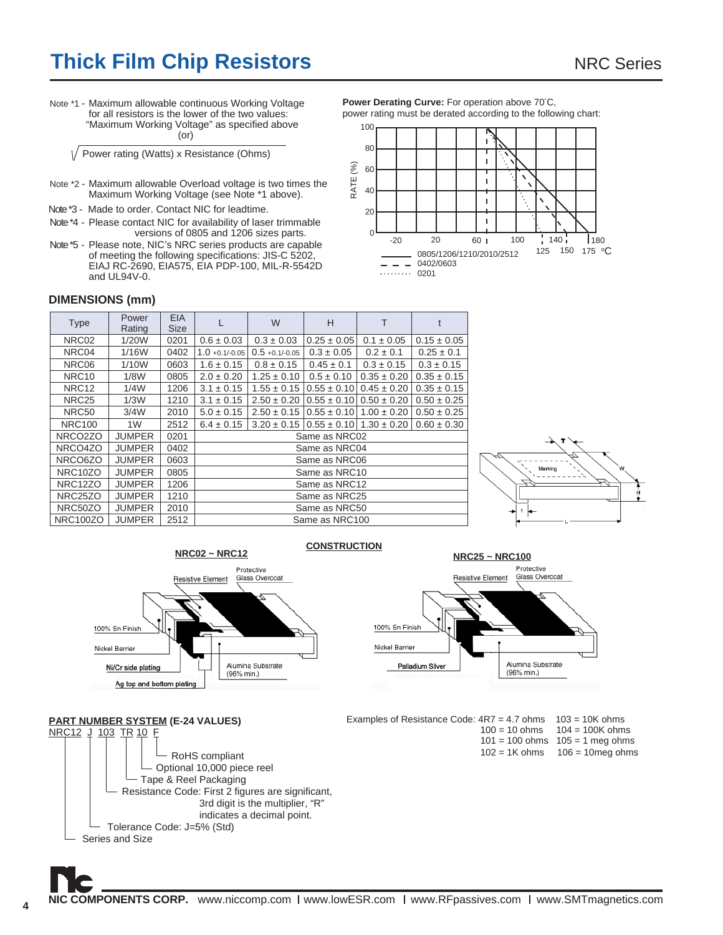# **Thick Film Chip Resistors** NRC Series

Note \*1 - Maximum allowable continuous Working Voltage for all resistors is the lower of the two values: "Maximum Working Voltage" as specified above (or)

Power rating (Watts) x Resistance (Ohms)

- Note \*2 Maximum allowable Overload voltage is two times the Maximum Working Voltage (see Note \*1 above).
- Note \*3 Made to order. Contact NIC for leadtime.
- Note \*4 Please contact NIC for availability of laser trimmable versions of 0805 and 1206 sizes parts.
- Note \*5 Please note, NIC's NRC series products are capable of meeting the following specifications: JIS-C 5202, EIAJ RC-2690, EIA575, EIA PDP-100, MIL-R-5542D and UL94V-0.

Power Derating Curve: For operation above 70°C, power rating must be derated according to the following chart:



#### **DIMENSIONS (mm)**

| <b>Type</b>          | Power<br>Rating | EIA.<br><b>Size</b> |                   | W                 | H               | т                                                   |                 |  |  |  |  |
|----------------------|-----------------|---------------------|-------------------|-------------------|-----------------|-----------------------------------------------------|-----------------|--|--|--|--|
| NRC02                | 1/20W           | 0201                | $0.6 \pm 0.03$    | $0.3 \pm 0.03$    | $0.25 \pm 0.05$ | $0.1 \pm 0.05$                                      | $0.15 \pm 0.05$ |  |  |  |  |
| NRC04                | 1/16W           | 0402                | $1.0 + 0.1/-0.05$ | $0.5 + 0.1/-0.05$ | $0.3 \pm 0.05$  | $0.2 \pm 0.1$                                       | $0.25 \pm 0.1$  |  |  |  |  |
| NRC06                | 1/10W           | 0603                | $1.6 \pm 0.15$    | $0.8 \pm 0.15$    | $0.45 \pm 0.1$  | $0.3 \pm 0.15$                                      | $0.3 \pm 0.15$  |  |  |  |  |
| NRC <sub>10</sub>    | 1/8W            | 0805                | $2.0 \pm 0.20$    | $1.25 \pm 0.10$   | $0.5 \pm 0.10$  | $0.35 \pm 0.20$                                     | $0.35 \pm 0.15$ |  |  |  |  |
| NRC <sub>12</sub>    | 1/4W            | 1206                | $3.1 \pm 0.15$    | $1.55 \pm 0.15$   |                 | $0.55 \pm 0.10$   $0.45 \pm 0.20$                   | $0.35 \pm 0.15$ |  |  |  |  |
| NRC <sub>25</sub>    | 1/3W            | 1210                | $3.1 \pm 0.15$    | $2.50 \pm 0.20$   |                 | $0.55 \pm 0.10$   $0.50 \pm 0.20$                   | $0.50 \pm 0.25$ |  |  |  |  |
| NRC50                | 3/4W            | 2010                | $5.0 \pm 0.15$    | $2.50 \pm 0.15$   |                 | $0.55 \pm 0.10$   $1.00 \pm 0.20$                   | $0.50 \pm 0.25$ |  |  |  |  |
| <b>NRC100</b>        | 1W              | 2512                | $6.4 \pm 0.15$    |                   |                 | $3.20 \pm 0.15$   $0.55 \pm 0.10$   $1.30 \pm 0.20$ | $0.60 \pm 0.30$ |  |  |  |  |
| NRCO2ZO              | <b>JUMPER</b>   | 0201                |                   |                   | Same as NRC02   |                                                     |                 |  |  |  |  |
| NRCO4ZO              | <b>JUMPER</b>   | 0402                |                   |                   | Same as NRC04   |                                                     |                 |  |  |  |  |
| NRCO6ZO              | <b>JUMPER</b>   | 0603                |                   |                   | Same as NRC06   |                                                     |                 |  |  |  |  |
| NRC10ZO              | <b>JUMPER</b>   | 0805                |                   |                   | Same as NRC10   |                                                     |                 |  |  |  |  |
| NRC <sub>12</sub> ZO | <b>JUMPER</b>   | 1206                |                   | Same as NRC12     |                 |                                                     |                 |  |  |  |  |
| NRC <sub>25</sub> ZO | <b>JUMPER</b>   | 1210                |                   | Same as NRC25     |                 |                                                     |                 |  |  |  |  |
| NRC50ZO              | <b>JUMPER</b>   | 2010                |                   | Same as NRC50     |                 |                                                     |                 |  |  |  |  |
| <b>NRC100ZO</b>      | <b>JUMPER</b>   | 2512                |                   |                   | Same as NRC100  |                                                     |                 |  |  |  |  |





Alumina Substrate

(96% min.)





**PART NUMBER SYSTEM (E-24 VALUES)**

Ag top and bottom plating

Ni/Cr side plating





- $101 = 100$  ohms  $105 = 1$  meg ohms  $102 = 1K$  ohms  $106 = 10$  meg ohms
-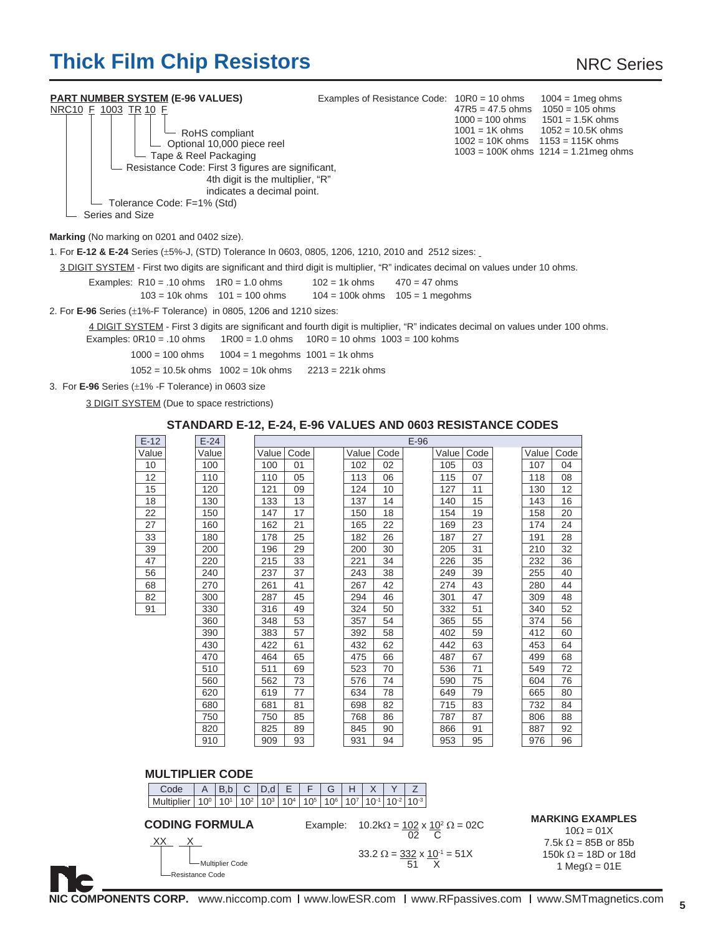# **Thick Film Chip Resistors** NRC Series

| <b>PART NUMBER SYSTEM (E-96 VALUES)</b>                                                                                                                                                                                                                               | Examples of Resistance Code: 10R0 = 10 ohms |                                                                              | $1004 = 1$ meg ohms                                                                                                          |  |
|-----------------------------------------------------------------------------------------------------------------------------------------------------------------------------------------------------------------------------------------------------------------------|---------------------------------------------|------------------------------------------------------------------------------|------------------------------------------------------------------------------------------------------------------------------|--|
| NRC10 F 1003 TR 10 F<br>RoHS compliant<br>Optional 10,000 piece reel<br>Tape & Reel Packaging<br>Resistance Code: First 3 figures are significant,<br>4th digit is the multiplier, "R"<br>indicates a decimal point.<br>Tolerance Code: F=1% (Std)<br>Series and Size |                                             | $47R5 = 47.5$ ohms $1050 = 105$ ohms<br>$1002 = 10K ohms$ $1153 = 115K ohms$ | $1000 = 100$ ohms $1501 = 1.5$ K ohms<br>$1001 = 1$ K ohms $1052 = 10.5$ K ohms<br>$1003 = 100K$ ohms $1214 = 1.21$ meg ohms |  |
|                                                                                                                                                                                                                                                                       |                                             |                                                                              |                                                                                                                              |  |
| Marking (No marking on 0201 and 0402 size).                                                                                                                                                                                                                           |                                             |                                                                              |                                                                                                                              |  |
| 1. For E-12 & E-24 Series (±5%-J, (STD) Tolerance In 0603, 0805, 1206, 1210, 2010 and 2512 sizes:                                                                                                                                                                     |                                             |                                                                              |                                                                                                                              |  |
| 3 DIGIT SYSTEM - First two digits are significant and third digit is multiplier, "R" indicates decimal on values under 10 ohms.                                                                                                                                       |                                             |                                                                              |                                                                                                                              |  |
| Examples: $R10 = .10$ ohms $1R0 = 1.0$ ohms                                                                                                                                                                                                                           | $102 = 1k ohms$<br>$470 = 47$ ohms          |                                                                              |                                                                                                                              |  |
| $103 = 10k$ ohms $101 = 100$ ohms                                                                                                                                                                                                                                     | $104 = 100k$ ohms $105 = 1$ megohms         |                                                                              |                                                                                                                              |  |
| 2. For $E$ -96 Series ( $\pm$ 1%-F Tolerance) in 0805, 1206 and 1210 sizes:                                                                                                                                                                                           |                                             |                                                                              |                                                                                                                              |  |
| 4 DIGIT SYSTEM - First 3 digits are significant and fourth digit is multiplier, "R" indicates decimal on values under 100 ohms.<br>Examples: $0R10 = .10$ ohms $1R00 = 1.0$ ohms $10R0 = 10$ ohms $1003 = 100$ kohms                                                  |                                             |                                                                              |                                                                                                                              |  |
| $1000 = 100$ ohms $1004 = 1$ megohms $1001 = 1$ k ohms                                                                                                                                                                                                                |                                             |                                                                              |                                                                                                                              |  |

- 1052 = 10.5k ohms  $1002 = 10k$  ohms  $2213 = 221k$  ohms
- 3. For **E-96** Series (±1% -F Tolerance) in 0603 size

3 DIGIT SYSTEM (Due to space restrictions)

#### **STANDARD E-12, E-24, E-96 VALUES AND 0603 RESISTANCE CODES**

| $E-12$ | $E-24$ |       |      |       |      | $E-96$ |       |      |       |      |
|--------|--------|-------|------|-------|------|--------|-------|------|-------|------|
| Value  | Value  | Value | Code | Value | Code |        | Value | Code | Value | Code |
| 10     | 100    | 100   | 01   | 102   | 02   |        | 105   | 03   | 107   | 04   |
| 12     | 110    | 110   | 05   | 113   | 06   |        | 115   | 07   | 118   | 08   |
| 15     | 120    | 121   | 09   | 124   | 10   |        | 127   | 11   | 130   | 12   |
| 18     | 130    | 133   | 13   | 137   | 14   |        | 140   | 15   | 143   | 16   |
| 22     | 150    | 147   | 17   | 150   | 18   |        | 154   | 19   | 158   | 20   |
| 27     | 160    | 162   | 21   | 165   | 22   |        | 169   | 23   | 174   | 24   |
| 33     | 180    | 178   | 25   | 182   | 26   |        | 187   | 27   | 191   | 28   |
| 39     | 200    | 196   | 29   | 200   | 30   |        | 205   | 31   | 210   | 32   |
| 47     | 220    | 215   | 33   | 221   | 34   |        | 226   | 35   | 232   | 36   |
| 56     | 240    | 237   | 37   | 243   | 38   |        | 249   | 39   | 255   | 40   |
| 68     | 270    | 261   | 41   | 267   | 42   |        | 274   | 43   | 280   | 44   |
| 82     | 300    | 287   | 45   | 294   | 46   |        | 301   | 47   | 309   | 48   |
| 91     | 330    | 316   | 49   | 324   | 50   |        | 332   | 51   | 340   | 52   |
|        | 360    | 348   | 53   | 357   | 54   |        | 365   | 55   | 374   | 56   |
|        | 390    | 383   | 57   | 392   | 58   |        | 402   | 59   | 412   | 60   |
|        | 430    | 422   | 61   | 432   | 62   |        | 442   | 63   | 453   | 64   |
|        | 470    | 464   | 65   | 475   | 66   |        | 487   | 67   | 499   | 68   |
|        | 510    | 511   | 69   | 523   | 70   |        | 536   | 71   | 549   | 72   |
|        | 560    | 562   | 73   | 576   | 74   |        | 590   | 75   | 604   | 76   |
|        | 620    | 619   | 77   | 634   | 78   |        | 649   | 79   | 665   | 80   |
|        | 680    | 681   | 81   | 698   | 82   |        | 715   | 83   | 732   | 84   |
|        | 750    | 750   | 85   | 768   | 86   |        | 787   | 87   | 806   | 88   |
|        | 820    | 825   | 89   | 845   | 90   |        | 866   | 91   | 887   | 92   |
|        | 910    | 909   | 93   | 931   | 94   |        | 953   | 95   | 976   | 96   |
|        |        |       |      |       |      |        |       |      |       |      |

#### **MULTIPLIER CODE**

| Code                                            | A            | B.b              | С               | D.d      | E               |          | G               | Н        | $\times$  |                            |    |                                                                                          |                                                                                                                                  |
|-------------------------------------------------|--------------|------------------|-----------------|----------|-----------------|----------|-----------------|----------|-----------|----------------------------|----|------------------------------------------------------------------------------------------|----------------------------------------------------------------------------------------------------------------------------------|
| Multiplier                                      | $10^{\circ}$ | 10 <sup>1</sup>  | 10 <sup>2</sup> | $10^{3}$ | 10 <sup>4</sup> | $10^{5}$ | 10 <sup>6</sup> | $10^{7}$ | $10^{-1}$ | $10^{-2}$ 10 <sup>-3</sup> |    |                                                                                          |                                                                                                                                  |
| <b>CODING FORMULA</b><br>XХ<br>-Resistance Code |              | -Multiplier Code |                 |          |                 |          | Example:        |          |           |                            | 51 | $10.2k\Omega = 102 \times 10^2 \Omega = 02C$<br>$33.2 \Omega = 332 \times 10^{-1} = 51X$ | <b>MARKING EXAMPLES</b><br>$10\Omega = 01X$<br>7.5k $\Omega$ = 85B or 85b<br>150 $k \Omega$ = 18D or 18d<br>1 Meg $\Omega$ = 01E |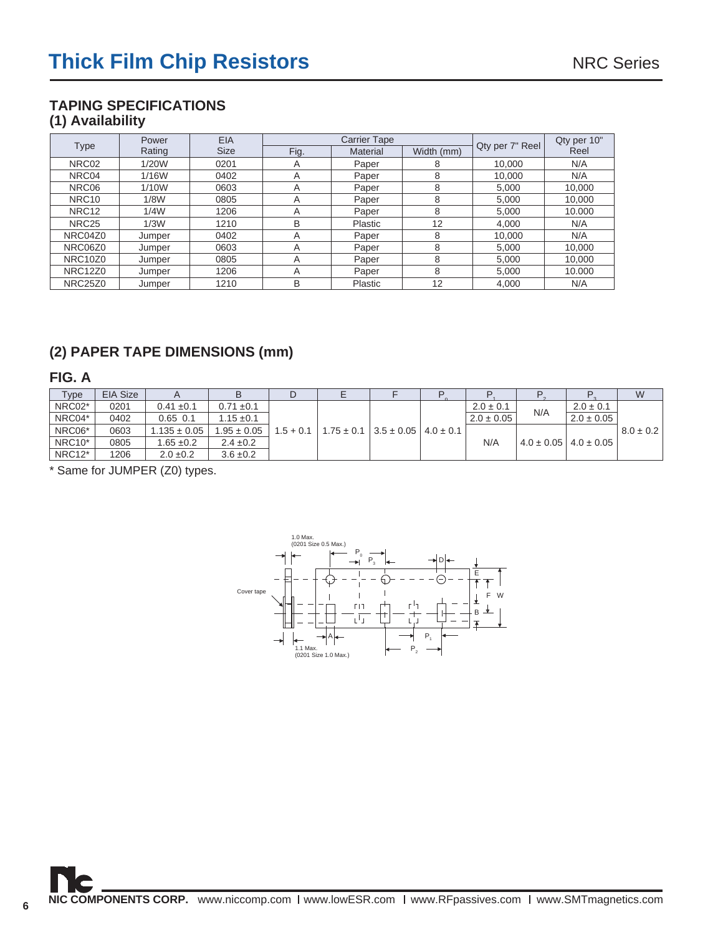# **TAPING SPECIFICATIONS (1) Availability**

|                                  | Power  | <b>EIA</b>  |      | <b>Carrier Tape</b> |            | Qty per 10"     |        |
|----------------------------------|--------|-------------|------|---------------------|------------|-----------------|--------|
| <b>Type</b>                      | Rating | <b>Size</b> | Fig. | <b>Material</b>     | Width (mm) | Qty per 7" Reel | Reel   |
| NRC02                            | 1/20W  | 0201        | A    | Paper               | 8          | 10.000          | N/A    |
| NRC04                            | 1/16W  | 0402        | A    | Paper               | 8          | 10.000          | N/A    |
| NRC06                            | 1/10W  | 0603        | A    | Paper               | 8          | 5,000           | 10,000 |
| NRC <sub>10</sub>                | 1/8W   | 0805        | A    | Paper               | 8          | 5.000           | 10,000 |
| NRC <sub>12</sub>                | 1/4W   | 1206        | A    | Paper               | 8          | 5.000           | 10.000 |
| NRC <sub>25</sub>                | 1/3W   | 1210        | B    | Plastic             | 12         | 4.000           | N/A    |
| NRC04Z0                          | Jumper | 0402        | A    | Paper               | 8          | 10.000          | N/A    |
| NRC06Z0                          | Jumper | 0603        | A    | Paper               | 8          | 5.000           | 10,000 |
| NRC <sub>10</sub> Z <sub>0</sub> | Jumper | 0805        | A    | Paper               | 8          | 5.000           | 10,000 |
| NRC12Z0                          | Jumper | 1206        | A    | Paper               | 8          | 5,000           | 10.000 |
| <b>NRC25Z0</b>                   | Jumper | 1210        | B    | Plastic             | 12         | 4,000           | N/A    |

# **(2) PAPER TAPE DIMENSIONS (mm)**

## **FIG. A**

| Type                | <b>EIA Size</b> |                  |                 |                                                               |  |                |     |                                 | W             |
|---------------------|-----------------|------------------|-----------------|---------------------------------------------------------------|--|----------------|-----|---------------------------------|---------------|
| NRC02*              | 0201            | $0.41 \pm 0.1$   | $0.71 \pm 0.1$  |                                                               |  | $2.0 \pm 0.1$  | N/A | $2.0 \pm 0.1$                   |               |
| NRC04*              | 0402            | $0.65$ 0.1       | $1.15 \pm 0.1$  |                                                               |  | $2.0 \pm 0.05$ |     | $2.0 \pm 0.05$                  |               |
| NRC06*              | 0603            | $1.135 \pm 0.05$ | $1.95 \pm 0.05$ | $1.5 + 0.1$   $1.75 \pm 0.1$   $3.5 \pm 0.05$   $4.0 \pm 0.1$ |  |                |     |                                 | $8.0 \pm 0.2$ |
| NRC <sub>10</sub> * | 0805            | $1.65 \pm 0.2$   | $2.4 \pm 0.2$   |                                                               |  | N/A            |     | $4.0 \pm 0.05$   $4.0 \pm 0.05$ |               |
| NRC12*              | 1206            | $2.0 \pm 0.2$    | $3.6 \pm 0.2$   |                                                               |  |                |     |                                 |               |

\* Same for JUMPER (Z0) types.